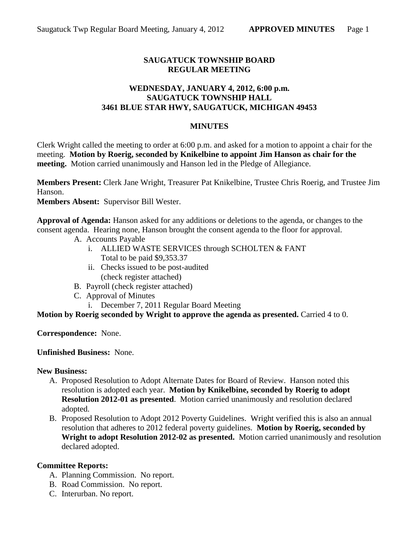# **SAUGATUCK TOWNSHIP BOARD REGULAR MEETING**

### **WEDNESDAY, JANUARY 4, 2012, 6:00 p.m. SAUGATUCK TOWNSHIP HALL 3461 BLUE STAR HWY, SAUGATUCK, MICHIGAN 49453**

#### **MINUTES**

Clerk Wright called the meeting to order at 6:00 p.m. and asked for a motion to appoint a chair for the meeting. **Motion by Roerig, seconded by Knikelbine to appoint Jim Hanson as chair for the meeting.** Motion carried unanimously and Hanson led in the Pledge of Allegiance.

**Members Present:** Clerk Jane Wright, Treasurer Pat Knikelbine, Trustee Chris Roerig, and Trustee Jim Hanson.

**Members Absent:** Supervisor Bill Wester.

**Approval of Agenda:** Hanson asked for any additions or deletions to the agenda, or changes to the consent agenda. Hearing none, Hanson brought the consent agenda to the floor for approval.

- A. Accounts Payable
	- i. ALLIED WASTE SERVICES through SCHOLTEN & FANT Total to be paid \$9,353.37
	- ii. Checks issued to be post-audited (check register attached)
- B. Payroll (check register attached)
- C. Approval of Minutes
	- i. December 7, 2011 Regular Board Meeting

**Motion by Roerig seconded by Wright to approve the agenda as presented.** Carried 4 to 0.

**Correspondence:** None.

**Unfinished Business:** None.

#### **New Business:**

- A. Proposed Resolution to Adopt Alternate Dates for Board of Review. Hanson noted this resolution is adopted each year. **Motion by Knikelbine, seconded by Roerig to adopt Resolution 2012-01 as presented**. Motion carried unanimously and resolution declared adopted.
- B. Proposed Resolution to Adopt 2012 Poverty Guidelines. Wright verified this is also an annual resolution that adheres to 2012 federal poverty guidelines. **Motion by Roerig, seconded by Wright to adopt Resolution 2012-02 as presented.** Motion carried unanimously and resolution declared adopted.

#### **Committee Reports:**

- A. Planning Commission. No report.
- B. Road Commission. No report.
- C. Interurban. No report.